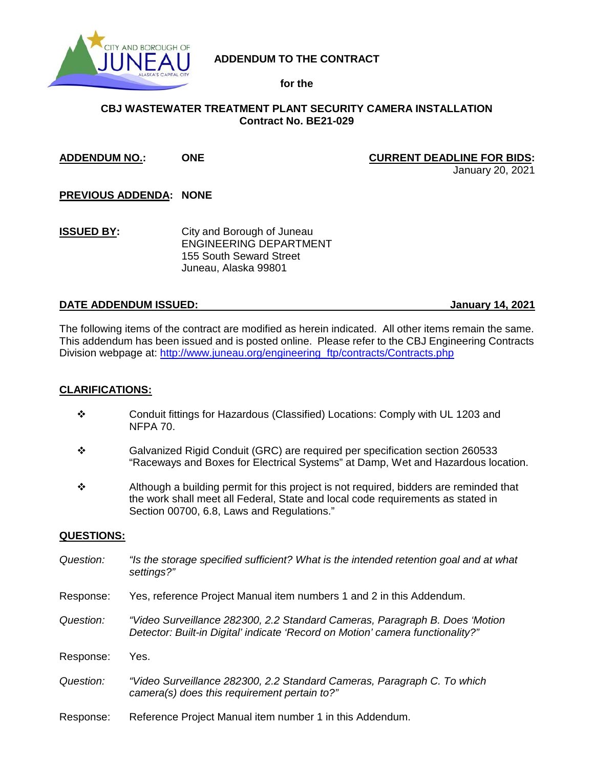

# **ADDENDUM TO THE CONTRACT**

## **for the**

# **CBJ WASTEWATER TREATMENT PLANT SECURITY CAMERA INSTALLATION Contract No. BE21-029**

### **ADDENDUM NO.: ONE CURRENT DEADLINE FOR BIDS:**

January 20, 2021

**PREVIOUS ADDENDA: NONE**

**ISSUED BY:** City and Borough of Juneau ENGINEERING DEPARTMENT 155 South Seward Street Juneau, Alaska 99801

### **DATE ADDENDUM ISSUED: January 14, 2021**

The following items of the contract are modified as herein indicated. All other items remain the same. This addendum has been issued and is posted online. Please refer to the CBJ Engineering Contracts Division webpage at: [http://www.juneau.org/engineering\\_ftp/contracts/Contracts.php](http://www.juneau.org/engineering_ftp/contracts/Contracts.php) 

### **CLARIFICATIONS:**

- Conduit fittings for Hazardous (Classified) Locations: Comply with UL 1203 and NFPA 70.
- Galvanized Rigid Conduit (GRC) are required per specification section 260533 "Raceways and Boxes for Electrical Systems" at Damp, Wet and Hazardous location.
- $\div$  Although a building permit for this project is not required, bidders are reminded that the work shall meet all Federal, State and local code requirements as stated in Section 00700, 6.8, Laws and Regulations."

### **QUESTIONS:**

- *Question: "Is the storage specified sufficient? What is the intended retention goal and at what settings?"*
- Response: Yes, reference Project Manual item numbers 1 and 2 in this Addendum.
- *Question: "Video Surveillance 282300, 2.2 Standard Cameras, Paragraph B. Does 'Motion Detector: Built-in Digital' indicate 'Record on Motion' camera functionality?"*
- Response: Yes.
- *Question: "Video Surveillance 282300, 2.2 Standard Cameras, Paragraph C. To which camera(s) does this requirement pertain to?"*
- Response: Reference Project Manual item number 1 in this Addendum.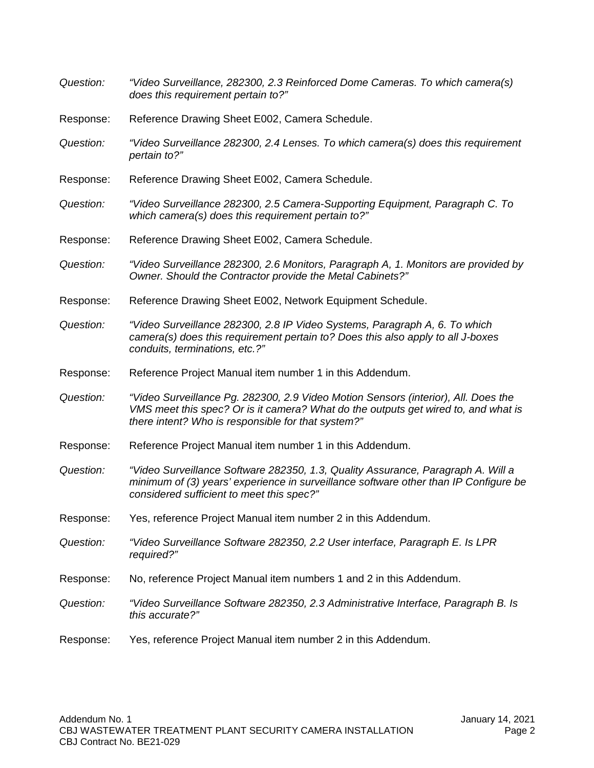| Question: | "Video Surveillance, 282300, 2.3 Reinforced Dome Cameras. To which camera(s)<br>does this requirement pertain to?"                                                                                                             |
|-----------|--------------------------------------------------------------------------------------------------------------------------------------------------------------------------------------------------------------------------------|
| Response: | Reference Drawing Sheet E002, Camera Schedule.                                                                                                                                                                                 |
| Question: | "Video Surveillance 282300, 2.4 Lenses. To which camera(s) does this requirement<br>pertain to?"                                                                                                                               |
| Response: | Reference Drawing Sheet E002, Camera Schedule.                                                                                                                                                                                 |
| Question: | "Video Surveillance 282300, 2.5 Camera-Supporting Equipment, Paragraph C. To<br>which camera(s) does this requirement pertain to?"                                                                                             |
| Response: | Reference Drawing Sheet E002, Camera Schedule.                                                                                                                                                                                 |
| Question: | "Video Surveillance 282300, 2.6 Monitors, Paragraph A, 1. Monitors are provided by<br>Owner. Should the Contractor provide the Metal Cabinets?"                                                                                |
| Response: | Reference Drawing Sheet E002, Network Equipment Schedule.                                                                                                                                                                      |
| Question: | "Video Surveillance 282300, 2.8 IP Video Systems, Paragraph A, 6. To which<br>camera(s) does this requirement pertain to? Does this also apply to all J-boxes<br>conduits, terminations, etc.?"                                |
| Response: | Reference Project Manual item number 1 in this Addendum.                                                                                                                                                                       |
| Question: | "Video Surveillance Pg. 282300, 2.9 Video Motion Sensors (interior), All. Does the<br>VMS meet this spec? Or is it camera? What do the outputs get wired to, and what is<br>there intent? Who is responsible for that system?" |
| Response: | Reference Project Manual item number 1 in this Addendum.                                                                                                                                                                       |
| Question: | "Video Surveillance Software 282350, 1.3, Quality Assurance, Paragraph A. Will a<br>minimum of (3) years' experience in surveillance software other than IP Configure be<br>considered sufficient to meet this spec?"          |
| Response: | Yes, reference Project Manual item number 2 in this Addendum.                                                                                                                                                                  |
| Question: | "Video Surveillance Software 282350, 2.2 User interface, Paragraph E. Is LPR<br>required?"                                                                                                                                     |
| Response: | No, reference Project Manual item numbers 1 and 2 in this Addendum.                                                                                                                                                            |
| Question: | "Video Surveillance Software 282350, 2.3 Administrative Interface, Paragraph B. Is<br>this accurate?"                                                                                                                          |
| Response: | Yes, reference Project Manual item number 2 in this Addendum.                                                                                                                                                                  |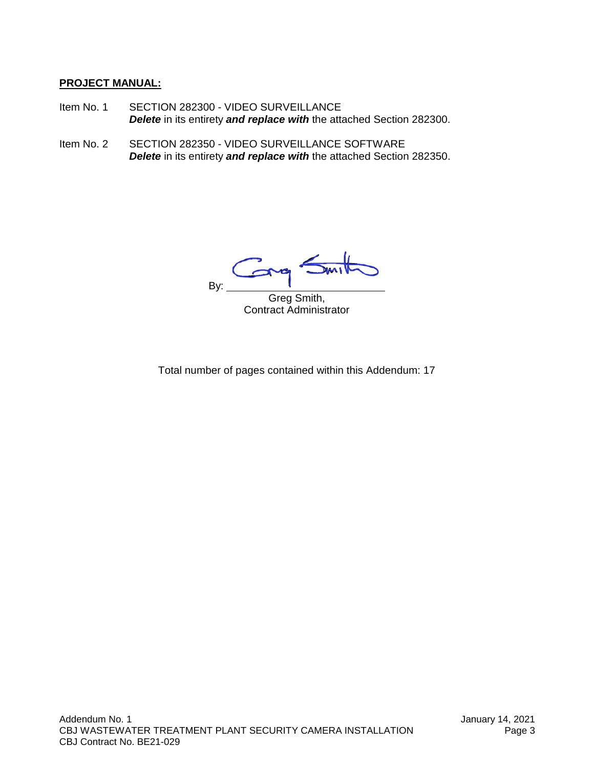# **PROJECT MANUAL:**

- Item No. 1 SECTION 282300 VIDEO SURVEILLANCE *Delete* in its entirety *and replace with* the attached Section 282300.
- Item No. 2 SECTION 282350 VIDEO SURVEILLANCE SOFTWARE *Delete* in its entirety *and replace with* the attached Section 282350.

 $\overline{\mathbf{M}}$  $\mathcal{C}_{1}$ By:  $\overline{\phantom{a}}$ 

Greg Smith, Contract Administrator

Total number of pages contained within this Addendum: 17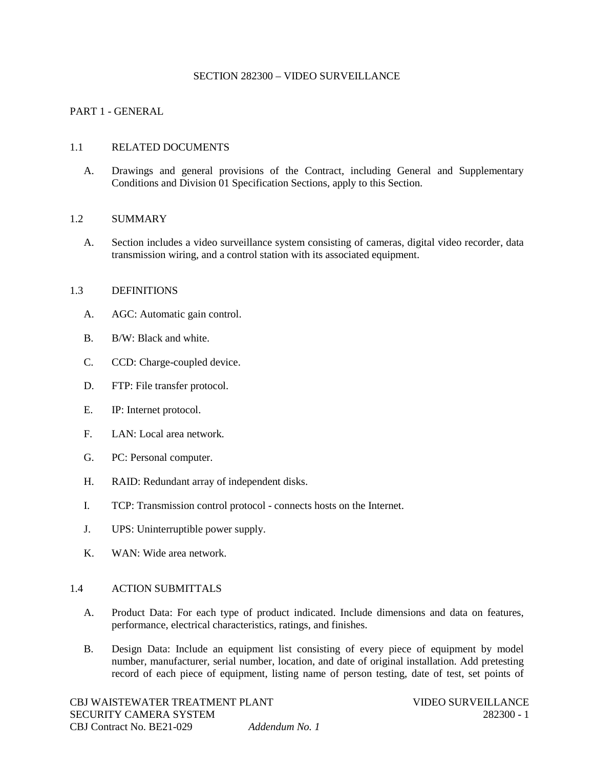#### SECTION 282300 – VIDEO SURVEILLANCE

### PART 1 - GENERAL

### 1.1 RELATED DOCUMENTS

A. Drawings and general provisions of the Contract, including General and Supplementary Conditions and Division 01 Specification Sections, apply to this Section.

### 1.2 SUMMARY

A. Section includes a video surveillance system consisting of cameras, digital video recorder, data transmission wiring, and a control station with its associated equipment.

#### 1.3 DEFINITIONS

- A. AGC: Automatic gain control.
- B. B/W: Black and white.
- C. CCD: Charge-coupled device.
- D. FTP: File transfer protocol.
- E. IP: Internet protocol.
- F. LAN: Local area network.
- G. PC: Personal computer.
- H. RAID: Redundant array of independent disks.
- I. TCP: Transmission control protocol connects hosts on the Internet.
- J. UPS: Uninterruptible power supply.
- K. WAN: Wide area network.

#### 1.4 ACTION SUBMITTALS

- A. Product Data: For each type of product indicated. Include dimensions and data on features, performance, electrical characteristics, ratings, and finishes.
- B. Design Data: Include an equipment list consisting of every piece of equipment by model number, manufacturer, serial number, location, and date of original installation. Add pretesting record of each piece of equipment, listing name of person testing, date of test, set points of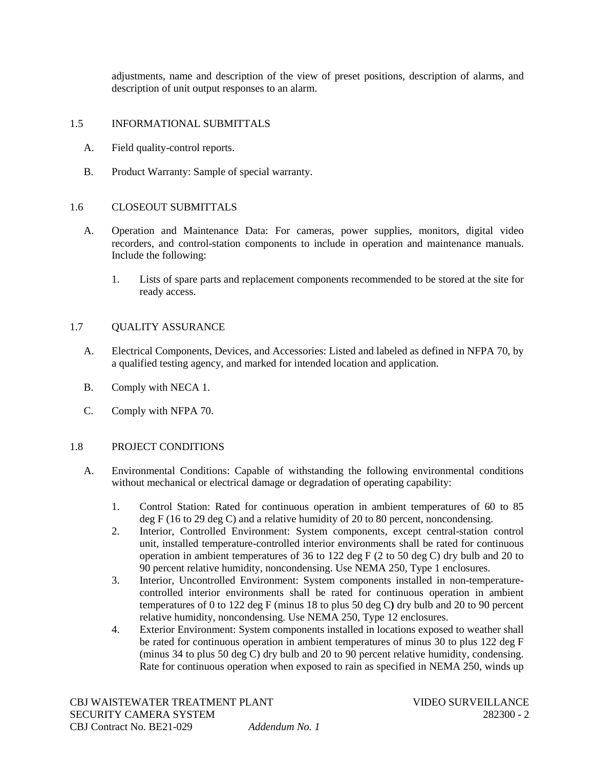adjustments, name and description of the view of preset positions, description of alarms, and description of unit output responses to an alarm.

### 1.5 INFORMATIONAL SUBMITTALS

- A. Field quality-control reports.
- B. Product Warranty: Sample of special warranty.

### 1.6 CLOSEOUT SUBMITTALS

- A. Operation and Maintenance Data: For cameras, power supplies, monitors, digital video recorders, and control-station components to include in operation and maintenance manuals. Include the following:
	- 1. Lists of spare parts and replacement components recommended to be stored at the site for ready access.

### 1.7 QUALITY ASSURANCE

- A. Electrical Components, Devices, and Accessories: Listed and labeled as defined in NFPA 70, by a qualified testing agency, and marked for intended location and application.
- B. Comply with NECA 1.
- C. Comply with NFPA 70.

### 1.8 PROJECT CONDITIONS

- A. Environmental Conditions: Capable of withstanding the following environmental conditions without mechanical or electrical damage or degradation of operating capability:
	- 1. Control Station: Rated for continuous operation in ambient temperatures of 60 to 85 deg F (16 to 29 deg C) and a relative humidity of 20 to 80 percent, noncondensing.
	- 2. Interior, Controlled Environment: System components, except central-station control unit, installed temperature-controlled interior environments shall be rated for continuous operation in ambient temperatures of 36 to 122 deg F (2 to 50 deg C) dry bulb and 20 to 90 percent relative humidity, noncondensing. Use NEMA 250, Type 1 enclosures.
	- 3. Interior, Uncontrolled Environment: System components installed in non-temperaturecontrolled interior environments shall be rated for continuous operation in ambient temperatures of 0 to 122 deg F (minus 18 to plus 50 deg C**)** dry bulb and 20 to 90 percent relative humidity, noncondensing. Use NEMA 250, Type 12 enclosures.
	- 4. Exterior Environment: System components installed in locations exposed to weather shall be rated for continuous operation in ambient temperatures of minus 30 to plus 122 deg F (minus 34 to plus 50 deg C) dry bulb and 20 to 90 percent relative humidity, condensing. Rate for continuous operation when exposed to rain as specified in NEMA 250, winds up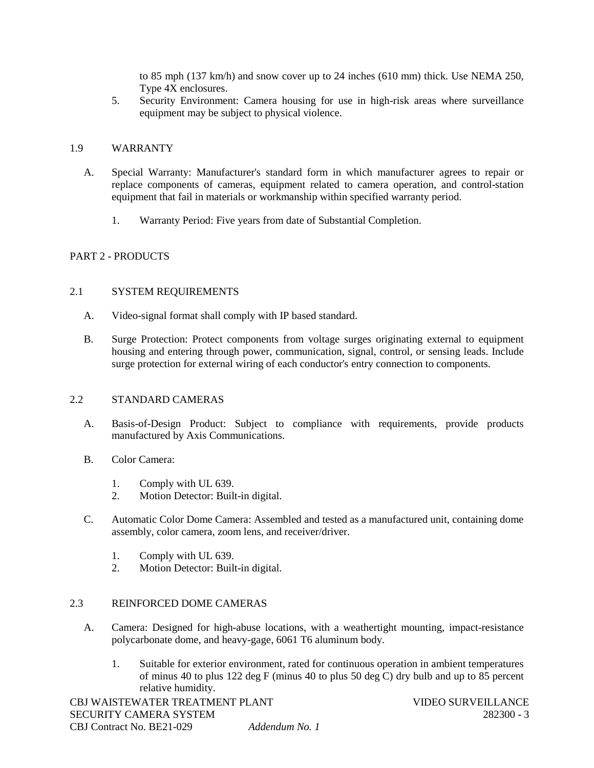to 85 mph (137 km/h) and snow cover up to 24 inches (610 mm) thick. Use NEMA 250, Type 4X enclosures.

5. Security Environment: Camera housing for use in high-risk areas where surveillance equipment may be subject to physical violence.

### 1.9 WARRANTY

- A. Special Warranty: Manufacturer's standard form in which manufacturer agrees to repair or replace components of cameras, equipment related to camera operation, and control-station equipment that fail in materials or workmanship within specified warranty period.
	- 1. Warranty Period: Five years from date of Substantial Completion.

### PART 2 - PRODUCTS

### 2.1 SYSTEM REQUIREMENTS

- A. Video-signal format shall comply with IP based standard.
- B. Surge Protection: Protect components from voltage surges originating external to equipment housing and entering through power, communication, signal, control, or sensing leads. Include surge protection for external wiring of each conductor's entry connection to components.

#### 2.2 STANDARD CAMERAS

- A. Basis-of-Design Product: Subject to compliance with requirements, provide products manufactured by Axis Communications.
- B. Color Camera:
	- 1. Comply with UL 639.<br>2. Motion Detector: Built
	- 2. Motion Detector: Built-in digital.
- C. Automatic Color Dome Camera: Assembled and tested as a manufactured unit, containing dome assembly, color camera, zoom lens, and receiver/driver.
	- 1. Comply with UL 639.
	- 2. Motion Detector: Built-in digital.

### 2.3 REINFORCED DOME CAMERAS

- A. Camera: Designed for high-abuse locations, with a weathertight mounting, impact-resistance polycarbonate dome, and heavy-gage, 6061 T6 aluminum body.
	- 1. Suitable for exterior environment, rated for continuous operation in ambient temperatures of minus 40 to plus 122 deg F (minus 40 to plus 50 deg  $\overline{C}$ ) dry bulb and up to 85 percent relative humidity.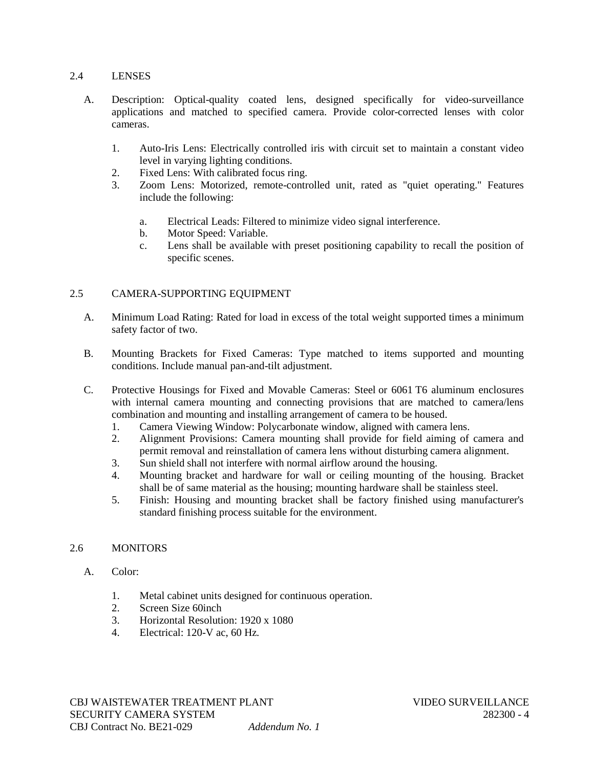### 2.4 LENSES

- A. Description: Optical-quality coated lens, designed specifically for video-surveillance applications and matched to specified camera. Provide color-corrected lenses with color cameras.
	- 1. Auto-Iris Lens: Electrically controlled iris with circuit set to maintain a constant video level in varying lighting conditions.
	- 2. Fixed Lens: With calibrated focus ring.
	- 3. Zoom Lens: Motorized, remote-controlled unit, rated as "quiet operating." Features include the following:
		- a. Electrical Leads: Filtered to minimize video signal interference.
		- b. Motor Speed: Variable.
		- c. Lens shall be available with preset positioning capability to recall the position of specific scenes.

## 2.5 CAMERA-SUPPORTING EQUIPMENT

- A. Minimum Load Rating: Rated for load in excess of the total weight supported times a minimum safety factor of two.
- B. Mounting Brackets for Fixed Cameras: Type matched to items supported and mounting conditions. Include manual pan-and-tilt adjustment.
- C. Protective Housings for Fixed and Movable Cameras: Steel or 6061 T6 aluminum enclosures with internal camera mounting and connecting provisions that are matched to camera/lens combination and mounting and installing arrangement of camera to be housed.
	- 1. Camera Viewing Window: Polycarbonate window, aligned with camera lens.
	- 2. Alignment Provisions: Camera mounting shall provide for field aiming of camera and permit removal and reinstallation of camera lens without disturbing camera alignment.
	- 3. Sun shield shall not interfere with normal airflow around the housing.
	- 4. Mounting bracket and hardware for wall or ceiling mounting of the housing. Bracket shall be of same material as the housing; mounting hardware shall be stainless steel.
	- 5. Finish: Housing and mounting bracket shall be factory finished using manufacturer's standard finishing process suitable for the environment.

### 2.6 MONITORS

- A. Color:
	- 1. Metal cabinet units designed for continuous operation.
	- 2. Screen Size 60inch
	- 3. Horizontal Resolution: 1920 x 1080
	- 4. Electrical: 120-V ac, 60 Hz.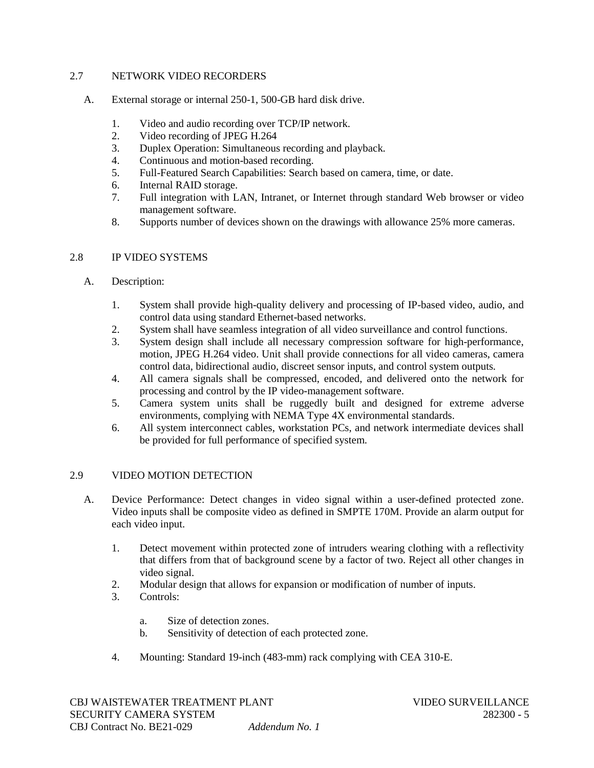## 2.7 NETWORK VIDEO RECORDERS

- A. External storage or internal 250-1, 500-GB hard disk drive.
	- 1. Video and audio recording over TCP/IP network.
	- 2. Video recording of JPEG H.264
	- 3. Duplex Operation: Simultaneous recording and playback.
	- 4. Continuous and motion-based recording.
	- 5. Full-Featured Search Capabilities: Search based on camera, time, or date.
	- 6. Internal RAID storage.
	- 7. Full integration with LAN, Intranet, or Internet through standard Web browser or video management software.
	- 8. Supports number of devices shown on the drawings with allowance 25% more cameras.

## 2.8 IP VIDEO SYSTEMS

- A. Description:
	- 1. System shall provide high-quality delivery and processing of IP-based video, audio, and control data using standard Ethernet-based networks.
	- 2. System shall have seamless integration of all video surveillance and control functions.
	- 3. System design shall include all necessary compression software for high-performance, motion, JPEG H.264 video. Unit shall provide connections for all video cameras, camera control data, bidirectional audio, discreet sensor inputs, and control system outputs.
	- 4. All camera signals shall be compressed, encoded, and delivered onto the network for processing and control by the IP video-management software.
	- 5. Camera system units shall be ruggedly built and designed for extreme adverse environments, complying with NEMA Type 4X environmental standards.
	- 6. All system interconnect cables, workstation PCs, and network intermediate devices shall be provided for full performance of specified system.

## 2.9 VIDEO MOTION DETECTION

- A. Device Performance: Detect changes in video signal within a user-defined protected zone. Video inputs shall be composite video as defined in SMPTE 170M. Provide an alarm output for each video input.
	- 1. Detect movement within protected zone of intruders wearing clothing with a reflectivity that differs from that of background scene by a factor of two. Reject all other changes in video signal.
	- 2. Modular design that allows for expansion or modification of number of inputs.
	- 3. Controls:
		- a. Size of detection zones.
		- b. Sensitivity of detection of each protected zone.
	- 4. Mounting: Standard 19-inch (483-mm) rack complying with CEA 310-E.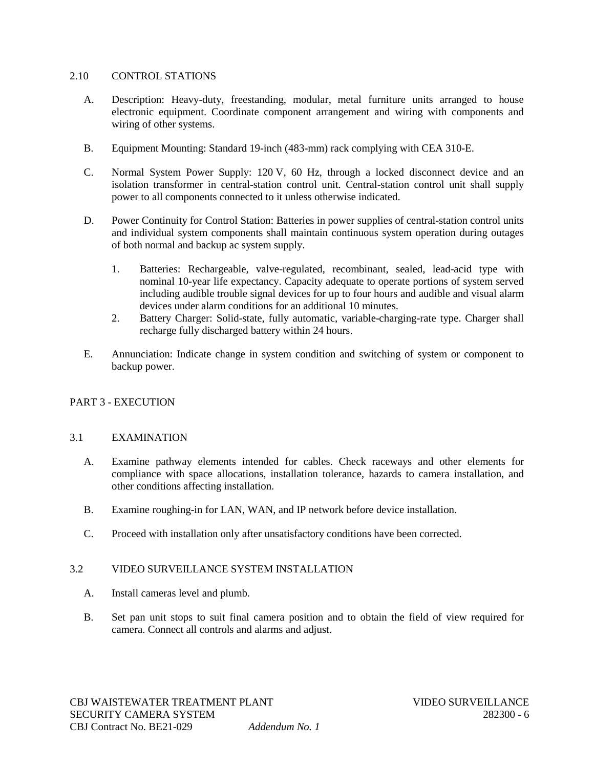#### 2.10 CONTROL STATIONS

- A. Description: Heavy-duty, freestanding, modular, metal furniture units arranged to house electronic equipment. Coordinate component arrangement and wiring with components and wiring of other systems.
- B. Equipment Mounting: Standard 19-inch (483-mm) rack complying with CEA 310-E.
- C. Normal System Power Supply: 120 V, 60 Hz, through a locked disconnect device and an isolation transformer in central-station control unit. Central-station control unit shall supply power to all components connected to it unless otherwise indicated.
- D. Power Continuity for Control Station: Batteries in power supplies of central-station control units and individual system components shall maintain continuous system operation during outages of both normal and backup ac system supply.
	- 1. Batteries: Rechargeable, valve-regulated, recombinant, sealed, lead-acid type with nominal 10-year life expectancy. Capacity adequate to operate portions of system served including audible trouble signal devices for up to four hours and audible and visual alarm devices under alarm conditions for an additional 10 minutes.
	- 2. Battery Charger: Solid-state, fully automatic, variable-charging-rate type. Charger shall recharge fully discharged battery within 24 hours.
- E. Annunciation: Indicate change in system condition and switching of system or component to backup power.

## PART 3 - EXECUTION

### 3.1 EXAMINATION

- A. Examine pathway elements intended for cables. Check raceways and other elements for compliance with space allocations, installation tolerance, hazards to camera installation, and other conditions affecting installation.
- B. Examine roughing-in for LAN, WAN, and IP network before device installation.
- C. Proceed with installation only after unsatisfactory conditions have been corrected.

### 3.2 VIDEO SURVEILLANCE SYSTEM INSTALLATION

- A. Install cameras level and plumb.
- B. Set pan unit stops to suit final camera position and to obtain the field of view required for camera. Connect all controls and alarms and adjust.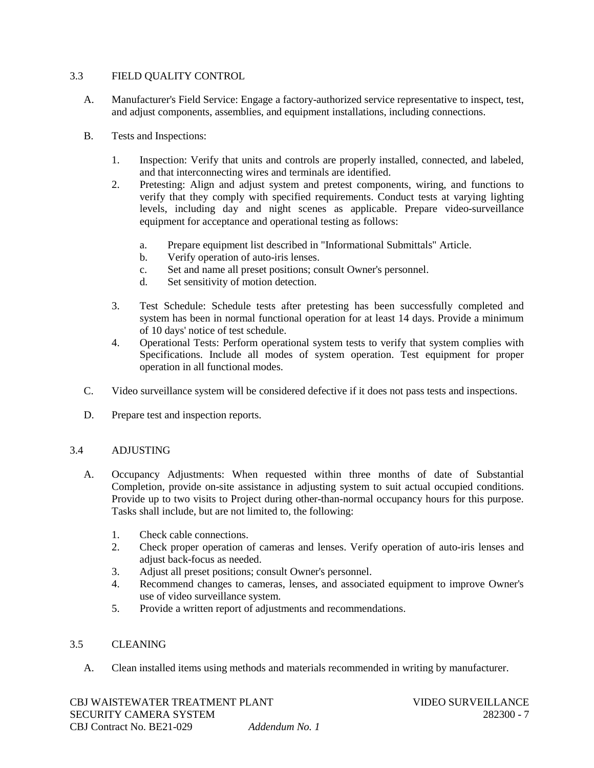## 3.3 FIELD QUALITY CONTROL

- A. Manufacturer's Field Service: Engage a factory-authorized service representative to inspect, test, and adjust components, assemblies, and equipment installations, including connections.
- B. Tests and Inspections:
	- 1. Inspection: Verify that units and controls are properly installed, connected, and labeled, and that interconnecting wires and terminals are identified.
	- 2. Pretesting: Align and adjust system and pretest components, wiring, and functions to verify that they comply with specified requirements. Conduct tests at varying lighting levels, including day and night scenes as applicable. Prepare video-surveillance equipment for acceptance and operational testing as follows:
		- a. Prepare equipment list described in "Informational Submittals" Article.
		- b. Verify operation of auto-iris lenses.
		- c. Set and name all preset positions; consult Owner's personnel.
		- d. Set sensitivity of motion detection.
	- 3. Test Schedule: Schedule tests after pretesting has been successfully completed and system has been in normal functional operation for at least 14 days. Provide a minimum of 10 days' notice of test schedule.
	- 4. Operational Tests: Perform operational system tests to verify that system complies with Specifications. Include all modes of system operation. Test equipment for proper operation in all functional modes.
- C. Video surveillance system will be considered defective if it does not pass tests and inspections.
- D. Prepare test and inspection reports.

### 3.4 ADJUSTING

- A. Occupancy Adjustments: When requested within three months of date of Substantial Completion, provide on-site assistance in adjusting system to suit actual occupied conditions. Provide up to two visits to Project during other-than-normal occupancy hours for this purpose. Tasks shall include, but are not limited to, the following:
	- 1. Check cable connections.
	- 2. Check proper operation of cameras and lenses. Verify operation of auto-iris lenses and adjust back-focus as needed.
	- 3. Adjust all preset positions; consult Owner's personnel.
	- 4. Recommend changes to cameras, lenses, and associated equipment to improve Owner's use of video surveillance system.
	- 5. Provide a written report of adjustments and recommendations.

### 3.5 CLEANING

A. Clean installed items using methods and materials recommended in writing by manufacturer.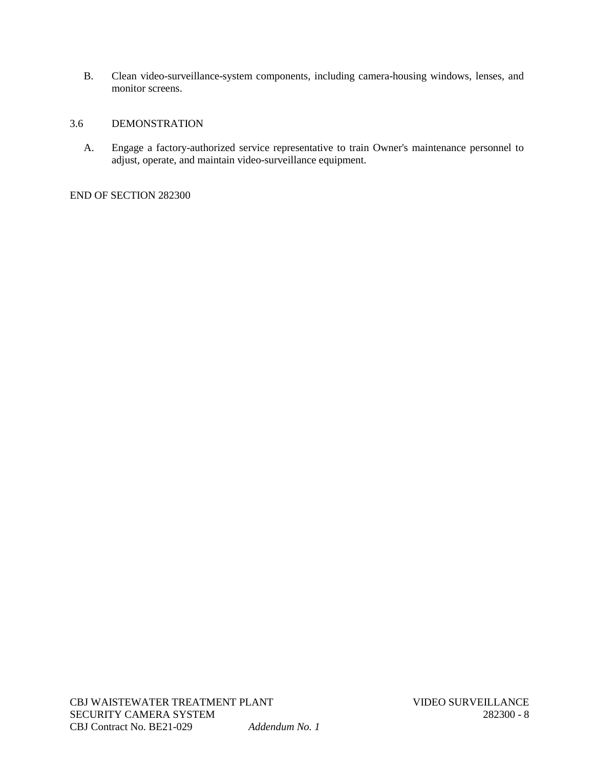B. Clean video-surveillance-system components, including camera-housing windows, lenses, and monitor screens.

## 3.6 DEMONSTRATION

A. Engage a factory-authorized service representative to train Owner's maintenance personnel to adjust, operate, and maintain video-surveillance equipment.

END OF SECTION 282300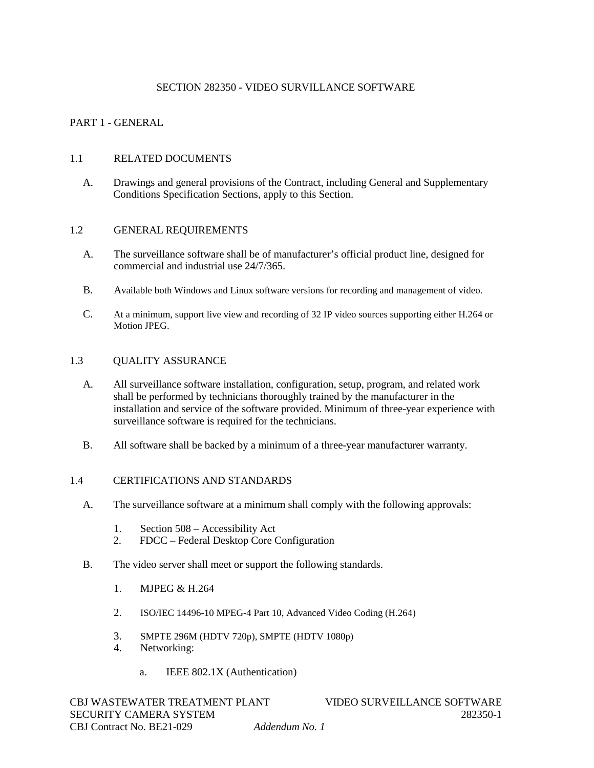## SECTION 282350 - VIDEO SURVILLANCE SOFTWARE

## PART 1 - GENERAL

#### 1.1 RELATED DOCUMENTS

A. Drawings and general provisions of the Contract, including General and Supplementary Conditions Specification Sections, apply to this Section.

#### 1.2 GENERAL REQUIREMENTS

- A. The surveillance software shall be of manufacturer's official product line, designed for commercial and industrial use 24/7/365.
- B. Available both Windows and Linux software versions for recording and management of video.
- C. At a minimum, support live view and recording of 32 IP video sources supporting either H.264 or Motion JPEG.

#### 1.3 QUALITY ASSURANCE

- A. All surveillance software installation, configuration, setup, program, and related work shall be performed by technicians thoroughly trained by the manufacturer in the installation and service of the software provided. Minimum of three-year experience with surveillance software is required for the technicians.
- B. All software shall be backed by a minimum of a three-year manufacturer warranty.

#### 1.4 CERTIFICATIONS AND STANDARDS

- A. The surveillance software at a minimum shall comply with the following approvals:
	- 1. Section 508 Accessibility Act
	- 2. FDCC Federal Desktop Core Configuration
- B. The video server shall meet or support the following standards.
	- 1. MJPEG & H.264
	- 2. ISO/IEC 14496-10 MPEG-4 Part 10, Advanced Video Coding (H.264)
	- 3. SMPTE 296M (HDTV 720p), SMPTE (HDTV 1080p)
	- 4. Networking:
		- a. IEEE 802.1X (Authentication)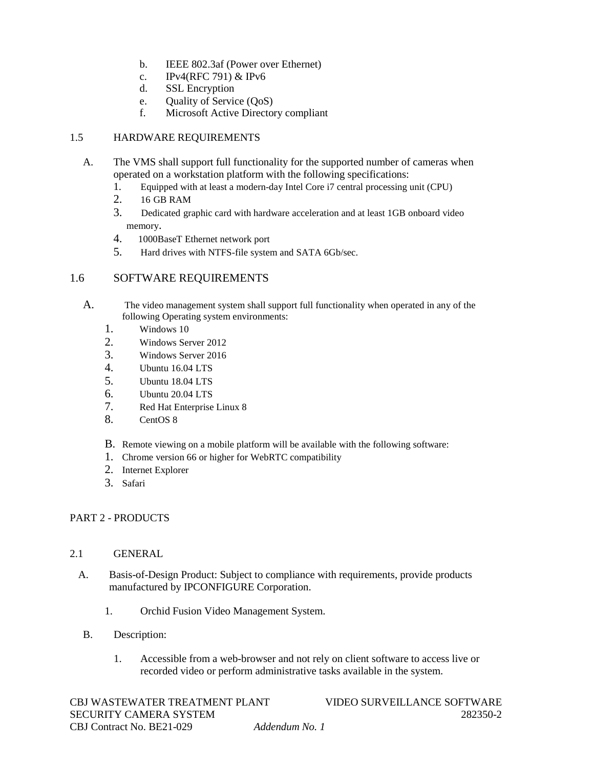- b. IEEE 802.3af (Power over Ethernet)
- c. IPv4(RFC 791) & IPv6
- d. SSL Encryption
- e. Quality of Service (QoS)<br>f. Microsoft Active Directo
- Microsoft Active Directory compliant

# 1.5 HARDWARE REQUIREMENTS

- A. The VMS shall support full functionality for the supported number of cameras when operated on a workstation platform with the following specifications:
	- 1. Equipped with at least a modern-day Intel Core i7 central processing unit (CPU)<br>2. 16 GB RAM
	- 2. 16 GB RAM
	- 3. Dedicated graphic card with hardware acceleration and at least 1GB onboard video memory.
	- 4. 1000BaseT Ethernet network port
	- 5. Hard drives with NTFS-file system and SATA 6Gb/sec.

# 1.6 SOFTWARE REQUIREMENTS

- A. The video management system shall support full functionality when operated in any of the following Operating system environments:
	- 1. Windows 10
	- 2. Windows Server 2012
	- 3. Windows Server 2016
	- 4. Ubuntu 16.04 LTS
	- 5. Ubuntu 18.04 LTS
	- 6. Ubuntu 20.04 LTS
	- 7. Red Hat Enterprise Linux 8
	- 8. CentOS 8
	- B. Remote viewing on a mobile platform will be available with the following software:
	- 1. Chrome version 66 or higher for WebRTC compatibility
	- 2. Internet Explorer
	- 3. Safari

## PART 2 - PRODUCTS

## 2.1 GENERAL

- A. Basis-of-Design Product: Subject to compliance with requirements, provide products manufactured by IPCONFIGURE Corporation.
	- 1. Orchid Fusion Video Management System.
- B. Description:
	- 1. Accessible from a web-browser and not rely on client software to access live or recorded video or perform administrative tasks available in the system.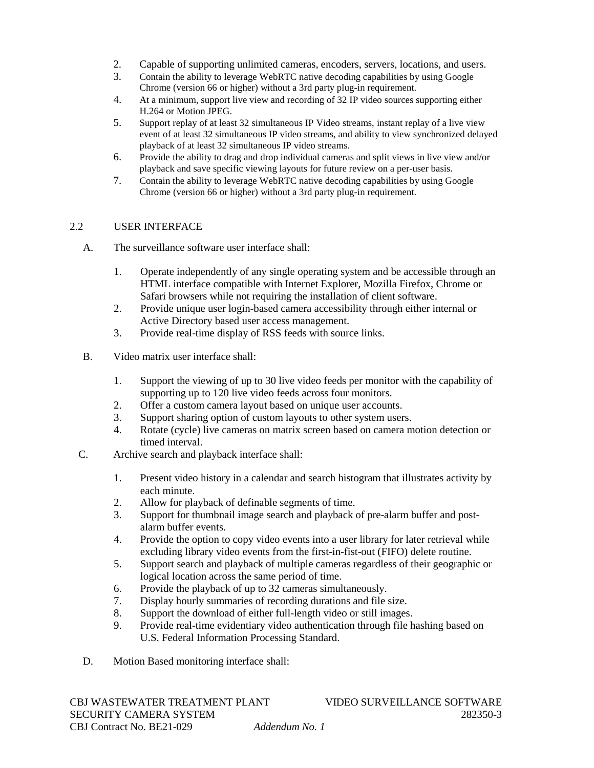- 2. Capable of supporting unlimited cameras, encoders, servers, locations, and users.<br>3. Contain the ability to leverage WebRTC native decoding capabilities by using Google
- 3. Contain the ability to leverage WebRTC native decoding capabilities by using Google Chrome (version 66 or higher) without a 3rd party plug-in requirement.
- 4. At a minimum, support live view and recording of 32 IP video sources supporting either H.264 or Motion JPEG.
- 5. Support replay of at least 32 simultaneous IP Video streams, instant replay of a live view event of at least 32 simultaneous IP video streams, and ability to view synchronized delayed playback of at least 32 simultaneous IP video streams.
- 6. Provide the ability to drag and drop individual cameras and split views in live view and/or playback and save specific viewing layouts for future review on a per-user basis.
- 7. Contain the ability to leverage WebRTC native decoding capabilities by using Google Chrome (version 66 or higher) without a 3rd party plug-in requirement.

## 2.2 USER INTERFACE

- A. The surveillance software user interface shall:
	- 1. Operate independently of any single operating system and be accessible through an HTML interface compatible with Internet Explorer, Mozilla Firefox, Chrome or Safari browsers while not requiring the installation of client software.
	- 2. Provide unique user login-based camera accessibility through either internal or Active Directory based user access management.
	- 3. Provide real-time display of RSS feeds with source links.
- B. Video matrix user interface shall:
	- 1. Support the viewing of up to 30 live video feeds per monitor with the capability of supporting up to 120 live video feeds across four monitors.
	- 2. Offer a custom camera layout based on unique user accounts.
	- 3. Support sharing option of custom layouts to other system users.
	- 4. Rotate (cycle) live cameras on matrix screen based on camera motion detection or timed interval.
- C. Archive search and playback interface shall:
	- 1. Present video history in a calendar and search histogram that illustrates activity by each minute.
	- 2. Allow for playback of definable segments of time.
	- 3. Support for thumbnail image search and playback of pre-alarm buffer and postalarm buffer events.
	- 4. Provide the option to copy video events into a user library for later retrieval while excluding library video events from the first-in-fist-out (FIFO) delete routine.
	- 5. Support search and playback of multiple cameras regardless of their geographic or logical location across the same period of time.
	- 6. Provide the playback of up to 32 cameras simultaneously.
	- 7. Display hourly summaries of recording durations and file size.
	- 8. Support the download of either full-length video or still images.
	- 9. Provide real-time evidentiary video authentication through file hashing based on U.S. Federal Information Processing Standard.
- D. Motion Based monitoring interface shall: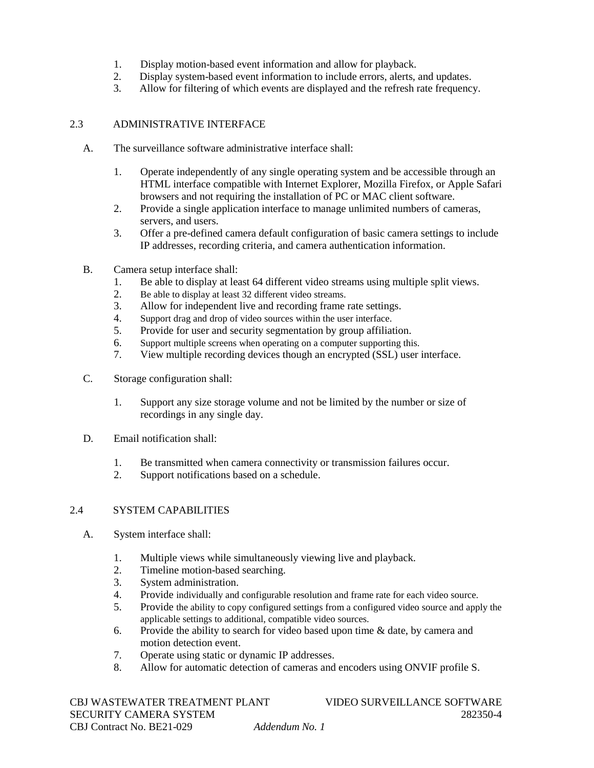- 1. Display motion-based event information and allow for playback.<br>2. Display system-based event information to include errors, alerts.
- Display system-based event information to include errors, alerts, and updates.
- 3. Allow for filtering of which events are displayed and the refresh rate frequency.

# 2.3 ADMINISTRATIVE INTERFACE

- A. The surveillance software administrative interface shall:
	- 1. Operate independently of any single operating system and be accessible through an HTML interface compatible with Internet Explorer, Mozilla Firefox, or Apple Safari browsers and not requiring the installation of PC or MAC client software.
	- 2. Provide a single application interface to manage unlimited numbers of cameras, servers, and users.
	- 3. Offer a pre-defined camera default configuration of basic camera settings to include IP addresses, recording criteria, and camera authentication information.
- B. Camera setup interface shall:
	- 1. Be able to display at least 64 different video streams using multiple split views.
	- 2. Be able to display at least 32 different video streams.<br>3. Allow for independent live and recording frame
	- Allow for independent live and recording frame rate settings.
	- 4. Support drag and drop of video sources within the user interface.
	- 5. Provide for user and security segmentation by group affiliation.
	- 6. Support multiple screens when operating on a computer supporting this.<br>7 View multiple recording devices though an encrypted (SSL) user
	- View multiple recording devices though an encrypted (SSL) user interface.
- C. Storage configuration shall:
	- 1. Support any size storage volume and not be limited by the number or size of recordings in any single day.
- D. Email notification shall:
	- 1. Be transmitted when camera connectivity or transmission failures occur.<br>2. Support notifications based on a schedule
	- Support notifications based on a schedule.

## 2.4 SYSTEM CAPABILITIES

- A. System interface shall:
	- 1. Multiple views while simultaneously viewing live and playback.<br>2. Timeline motion-based searching.
	- Timeline motion-based searching.
	- 3. System administration.
	- 4. Provide individually and configurable resolution and frame rate for each video source.
	- 5. Provide the ability to copy configured settings from a configured video source and apply the applicable settings to additional, compatible video sources.
	- 6. Provide the ability to search for video based upon time & date, by camera and motion detection event.
	- 7. Operate using static or dynamic IP addresses.
	- 8. Allow for automatic detection of cameras and encoders using ONVIF profile S.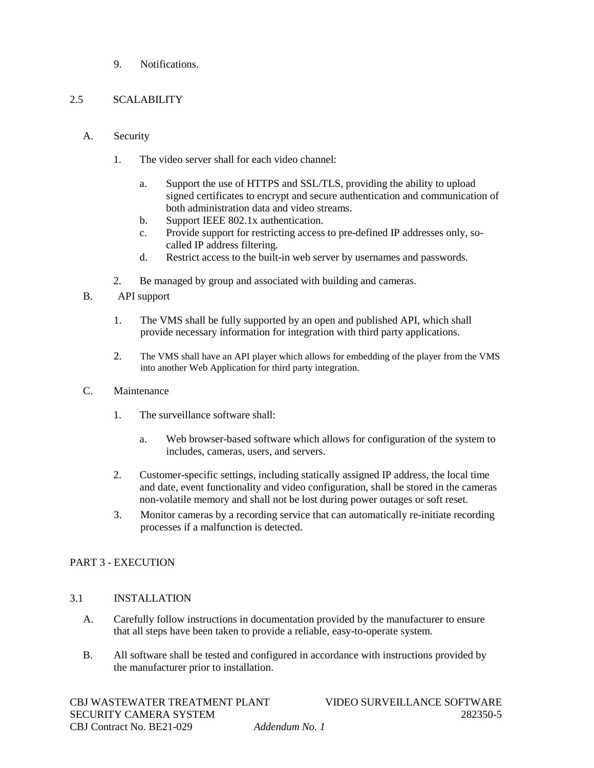9. Notifications.

### 2.5 SCALABILITY

- A. Security
	- 1. The video server shall for each video channel:
		- a. Support the use of HTTPS and SSL/TLS, providing the ability to upload signed certificates to encrypt and secure authentication and communication of both administration data and video streams.
		- b. Support IEEE 802.1x authentication.
		- c. Provide support for restricting access to pre-defined IP addresses only, socalled IP address filtering.
		- d. Restrict access to the built-in web server by usernames and passwords.
	- 2. Be managed by group and associated with building and cameras.
- B. API support
	- 1. The VMS shall be fully supported by an open and published API, which shall provide necessary information for integration with third party applications.
	- 2. The VMS shall have an API player which allows for embedding of the player from the VMS into another Web Application for third party integration.
- C. Maintenance
	- 1. The surveillance software shall:
		- a. Web browser-based software which allows for configuration of the system to includes, cameras, users, and servers.
	- 2. Customer-specific settings, including statically assigned IP address, the local time and date, event functionality and video configuration, shall be stored in the cameras non-volatile memory and shall not be lost during power outages or soft reset.
	- 3. Monitor cameras by a recording service that can automatically re-initiate recording processes if a malfunction is detected.

## PART 3 - EXECUTION

## 3.1 INSTALLATION

- A. Carefully follow instructions in documentation provided by the manufacturer to ensure that all steps have been taken to provide a reliable, easy-to-operate system.
- B. All software shall be tested and configured in accordance with instructions provided by the manufacturer prior to installation.